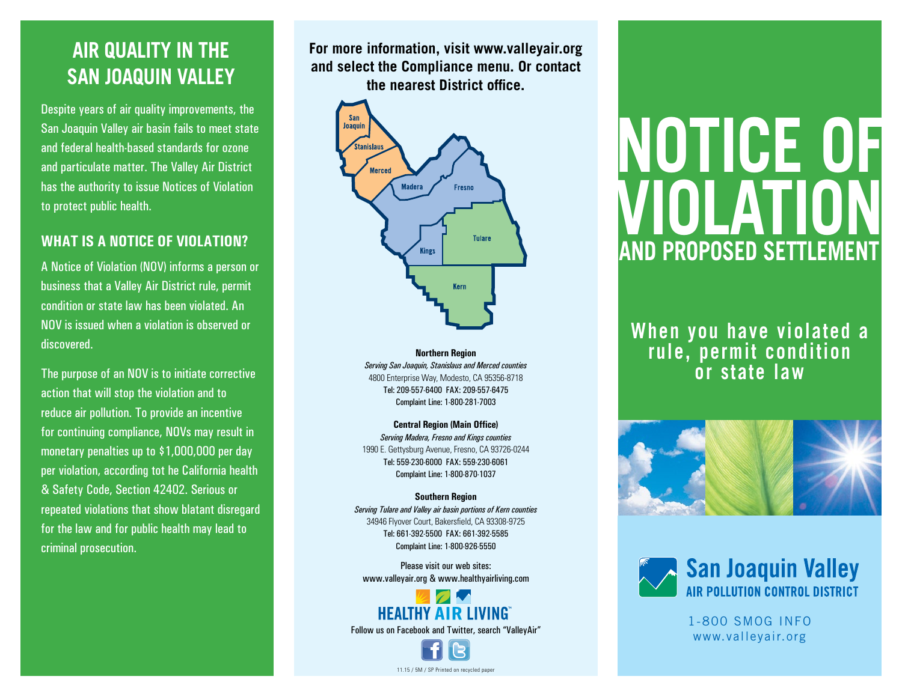## **AIR QUALITY IN THE SAN JOAQUIN VALLEY**

Despite years of air quality improvements, the San Joaquin Valley air basin fails to meet state and federal health-based standards for ozone and particulate matter. The Valley Air District has the authority to issue Notices of Violation to protect public health.

#### **WHAT IS A NOTICE OF VIOLATION?**

A Notice of Violation (NOV) informs a person or business that a Valley Air District rule, permit condition or state law has been violated. An NOV is issued when a violation is observed or discovered.

The purpose of an NOV is to initiate corrective action that will stop the violation and to reduce air pollution. To provide an incentive for continuing compliance, NOVs may result in monetary penalties up to \$1,000,000 per day per violation, according tot he California health & Safety Code, Section 42402. Serious or repeated violations that show blatant disregard for the law and for public health may lead to criminal prosecution.

**For more information, visit www.valleyair.org and select the Compliance menu. Or contact the nearest District office.** 



**Northern Region** *Serving San Joaquin, Stanislaus and Merced counties* 4800 Enterprise Way, Modesto, CA 95356-8718 Tel: 209-557-6400 FAX: 209-557-6475 Complaint Line: 1-800-281-7003

**Central Region (Main Office)** *Serving Madera, Fresno and Kings counties* 1990 E. Gettysburg Avenue, Fresno, CA 93726-0244 Tel: 559-230-6000 FAX: 559-230-6061 Complaint Line: 1-800-870-1037

#### **Southern Region**

*Serving Tulare and Valley air basin portions of Kern counties* 34946 Flyover Court, Bakersfield, CA 93308-9725 Tel: 661-392-5500 FAX: 661-392-5585 Complaint Line: 1-800-926-5550

Please visit our web sites: www.valleyair.org & www.healthyairliving.com

### **HEALTHY AIR LIVING** Follow us on Facebook and Twitter, search "ValleyAir"

11.15 / 5M / SP Printed on recycled pape

**Notice of violation and proposed Settlement**

**When you have violated a rule, permit condition or state law**





1-800 SMOG INFO www.valleyair.org